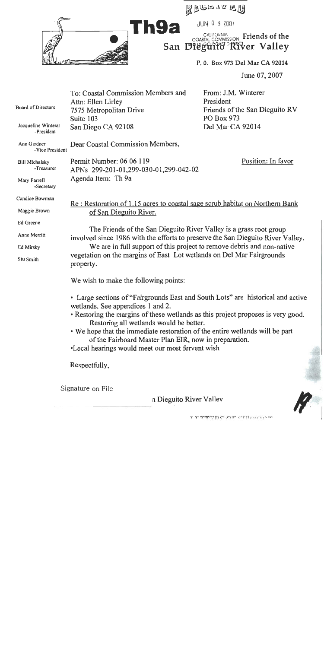**REGION ET** 

JUN 0 8 2007

## Th<sub>9a</sub> CALIFORNIA COMMISSION Friends of the San Diegation of the San Diegation of the San Diegation of the San Diegation of the San Diegation of the San Diegation of the San Diegation of the San Diegation of the San Diegation of

P. 0. Box 973 Del Mar CA 92014

June 07, 2007

| <b>Board of Directors</b>           | To: Coastal Commission Members and<br>Attn: Ellen Lirley<br>7575 Metropolitan Drive<br>Suite 103                                                                                                                                                                                                                                                                                             | From: J.M. Winterer<br>President<br>Friends of the San Dieguito RV<br>PO Box 973 |  |
|-------------------------------------|----------------------------------------------------------------------------------------------------------------------------------------------------------------------------------------------------------------------------------------------------------------------------------------------------------------------------------------------------------------------------------------------|----------------------------------------------------------------------------------|--|
| Jacqueline Winterer<br>-President   | San Diego CA 92108                                                                                                                                                                                                                                                                                                                                                                           | Del Mar CA 92014                                                                 |  |
| Ann Gardner<br>-Vice President      | Dear Coastal Commission Members,                                                                                                                                                                                                                                                                                                                                                             |                                                                                  |  |
| <b>Bill Michalsky</b><br>-Treasurer | Permit Number: 06 06 119<br>APNs 299-201-01,299-030-01,299-042-02                                                                                                                                                                                                                                                                                                                            | Position: In favor                                                               |  |
| Mary Farrell<br>-Secretary          | Agenda Item: Th 9a                                                                                                                                                                                                                                                                                                                                                                           |                                                                                  |  |
| Candice Bowman                      | Re: Restoration of 1.15 acres to coastal sage scrub habitat on Northern Bank                                                                                                                                                                                                                                                                                                                 |                                                                                  |  |
| Maggie Brown                        | of San Dieguito River.                                                                                                                                                                                                                                                                                                                                                                       |                                                                                  |  |
| <b>Ed Greene</b>                    |                                                                                                                                                                                                                                                                                                                                                                                              |                                                                                  |  |
| Anne Merritt                        | The Friends of the San Dieguito River Valley is a grass root group<br>involved since 1986 with the efforts to preserve the San Dieguito River Valley.                                                                                                                                                                                                                                        |                                                                                  |  |
| Ed Mirsky                           | We are in full support of this project to remove debris and non-native                                                                                                                                                                                                                                                                                                                       |                                                                                  |  |
| Stu Smith                           | vegetation on the margins of East Lot wetlands on Del Mar Fairgrounds<br>property.                                                                                                                                                                                                                                                                                                           |                                                                                  |  |
|                                     | We wish to make the following points:                                                                                                                                                                                                                                                                                                                                                        |                                                                                  |  |
|                                     | • Large sections of "Fairgrounds East and South Lots" are historical and active<br>wetlands. See appendices 1 and 2.<br>• Restoring the margins of these wetlands as this project proposes is very good.<br>Restoring all wetlands would be better.<br>• We hope that the immediate restoration of the entire wetlands will be part<br>of the Fairboard Master Plan EIR, now in preparation. |                                                                                  |  |
|                                     | •Local hearings would meet our most fervent wish                                                                                                                                                                                                                                                                                                                                             |                                                                                  |  |
|                                     | Respectfully,                                                                                                                                                                                                                                                                                                                                                                                |                                                                                  |  |
|                                     |                                                                                                                                                                                                                                                                                                                                                                                              |                                                                                  |  |
|                                     | Signature on File                                                                                                                                                                                                                                                                                                                                                                            |                                                                                  |  |
|                                     | n Dieguito River Vallev                                                                                                                                                                                                                                                                                                                                                                      |                                                                                  |  |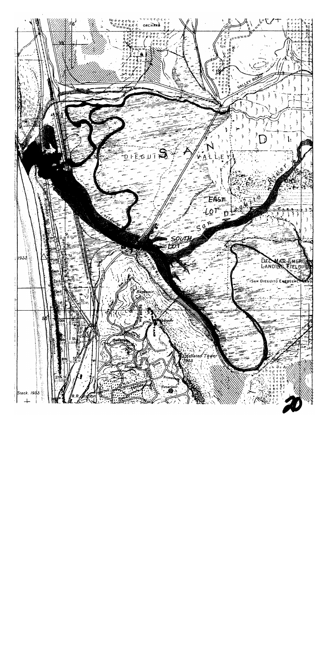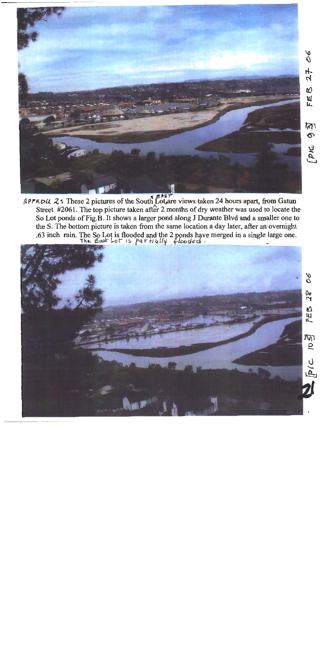

RPPEDIX 2: These 2 pictures of the South Lot<sub>s</sub>are views taken 24 hours apart, from Gatun Street  $\#2061$ . The top picture taken after 2 months of dry weather was used to locate the So Lot ponds of Fig.B. It shows a larger pond along J Durante Blvd and a smaller one to the S. The bottom picture is taken from the same location a day later, after an overnight .63 inch rain. The So Lot is flooded and the 2 ponds have merged in a single large one.<br>The East Lot is particuly flooded.

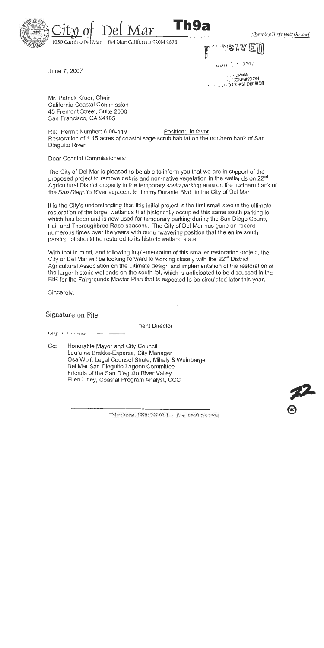

Del Mar

1050 Camino Del Mar • Del Mar, California 92014-2698

Where the Turf meets the Surf

Th9a

UUIN 1 1 2007

June 7, 2007

**ALIF DRINA**<br>Y. COMMISSION COAST DISTRICT

Mr. Patrick Kruer, Chair California Coastal Commission 45 Fremont Street, Suite 2000 San Francisco, CA 94105

Position: In favor Re: Permit Number: 6-06-119 Restoration of 1.15 acres of coastal sage scrub habitat on the northern bank of San Dieguito River

Dear Coastal Commissioners:

The City of Del Mar is pleased to be able to inform you that we are in support of the proposed project to remove debris and non-native vegetation in the wetlands on 22<sup>nd</sup> Agricultural District property in the temporary south parking area on the northern bank of the San Diequito River adjacent to Jimmy Durante Blvd, in the City of Del Mar.

It is the City's understanding that this initial project is the first small step in the ultimate restoration of the larger wetlands that historically occupied this same south parking lot which has been and is now used for temporary parking during the San Diego County Fair and Thoroughbred Race seasons. The City of Del Mar has gone on record numerous times over the years with our unwavering position that the entire south parking lot should be restored to its historic wetland state.

With that in mind, and following implementation of this smaller restoration project, the City of Del Mar will be looking forward to working closely with the 22<sup>nd</sup> District Agricultural Association on the ultimate design and implementation of the restoration of the larger historic wetlands on the south lot, which is anticipated to be discussed in the EIR for the Fairgrounds Master Plan that is expected to be circulated later this year.

Sincerelv.

Signature on File

ment Director

**UITY UI LUGI IVIGI** 

Cc: Honorable Mayor and City Council Lauraine Brekke-Esparza, City Manager Osa Wolf, Legal Counsel Shute, Mihaly & Weinberger Del Mar San Dieguito Lagoon Committee Friends of the San Dieguito River Valley Ellen Lirley, Coastal Program Analyst, CCC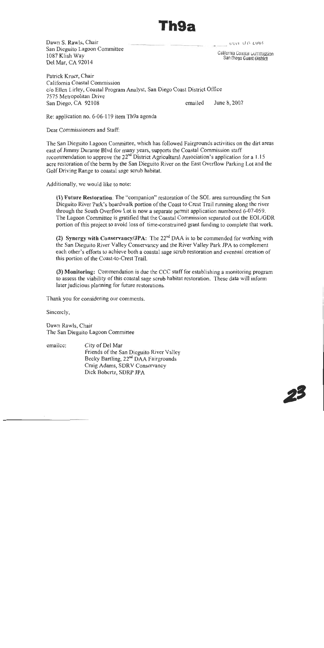## Th9a

Dawn S. Rawls, Chair San Dieguito Lagoon Committee 1087 Klish Way Del Mar, CA 92014

UUIV UO LUUT

California Coastal Cummission San Diego Coast District

Patrick Kruer, Chair California Coastal Commission c/o Ellen Lirley, Coastal Program Analyst, San Diego Coast District Office 7575 Metropolitan Drive emailed June 8, 2007 San Diego, CA 92108

Re: application no. 6-06-119 item Th9a agenda

Dear Commissioners and Staff:

The San Dieguito Lagoon Committee, which has followed Fairgrounds activities on the dirt areas east of Jimmy Durante Blvd for many years, supports the Coastal Commission staff recommendation to approve the  $22^{nd}$  District Agricultural Association's application for a 1.15 acre restoration of the berm by the San Dieguito River on the East Overflow Parking Lot and the Golf Driving Range to coastal sage scrub habitat.

Additionally, we would like to note:

(1) Future Restoration: The "companion" restoration of the SOL area surrounding the San Dieguito River Park's boardwalk portion of the Coast to Crest Trail running along the river through the South Overflow Lot is now a separate permit application numbered 6-07-059. The Lagoon Committee is gratified that the Coastal Commission separated out the EOL/GDR portion of this project to avoid loss of time-constrained grant funding to complete that work.

(2) Synergy with Conservancy/JPA: The  $22^{\text{nd}}$  DAA is to be commended for working with the San Dieguito River Valley Conservancy and the River Valley Park JPA to complement each other's efforts to achieve both a coastal sage scrub restoration and eventual creation of this portion of the Coast-to-Crest Trail.

(3) Monitoring: Commendation is due the CCC staff for establishing a monitoring program to assess the viability of this coastal sage scrub habitat restoration. These data will inform later judicious planning for future restorations.

Thank you for considering our comments.

Sincercly,

Dawn Rawls, Chair The San Dieguito Lagoon Committee

emailcc: City of Del Mar Friends of the San Dieguito River Valley Becky Bartling, 22<sup>nd</sup> DAA Fairgrounds Craig Adams, SDRV Conservancy Dick Bobertz, SDRP JPA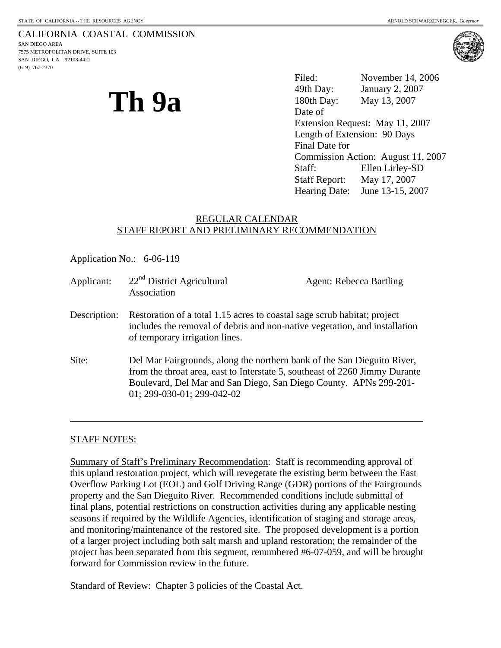## CALIFORNIA COASTAL COMMISSION

SAN DIEGO AREA 7575 METROPOLITAN DRIVE, SUITE 103 SAN DIEGO, CA 92108-4421 (619) 767-2370



# **Th 9a**

Filed: November 14, 2006 49th Day: January 2, 2007 180th Day: May 13, 2007 Extension Request: May 11, 2007 Length of Extension: 90 Days Final Date for Commission Action: August 11, 2007 Staff: Ellen Lirley-SD Staff Report: May 17, 2007 Hearing Date: June 13-15, 2007

## REGULAR CALENDAR STAFF REPORT AND PRELIMINARY RECOMMENDATION

Application No.: 6-06-119

- Applicant: 22<sup>nd</sup> District Agricultural Agent: Rebecca Bartling Association
- Description: Restoration of a total 1.15 acres to coastal sage scrub habitat; project includes the removal of debris and non-native vegetation, and installation of temporary irrigation lines.
- Site: Del Mar Fairgrounds, along the northern bank of the San Dieguito River, from the throat area, east to Interstate 5, southeast of 2260 Jimmy Durante Boulevard, Del Mar and San Diego, San Diego County. APNs 299-201- 01; 299-030-01; 299-042-02

## STAFF NOTES:

l

Summary of Staff's Preliminary Recommendation: Staff is recommending approval of this upland restoration project, which will revegetate the existing berm between the East Overflow Parking Lot (EOL) and Golf Driving Range (GDR) portions of the Fairgrounds property and the San Dieguito River. Recommended conditions include submittal of final plans, potential restrictions on construction activities during any applicable nesting seasons if required by the Wildlife Agencies, identification of staging and storage areas, and monitoring/maintenance of the restored site. The proposed development is a portion of a larger project including both salt marsh and upland restoration; the remainder of the project has been separated from this segment, renumbered #6-07-059, and will be brought forward for Commission review in the future.

Standard of Review: Chapter 3 policies of the Coastal Act.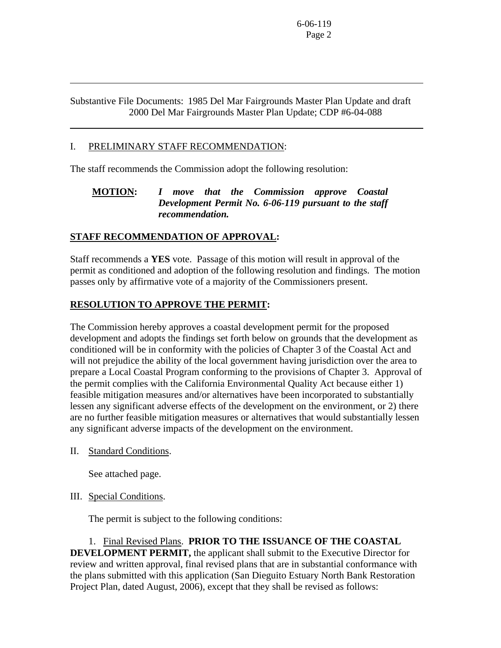## Substantive File Documents: 1985 Del Mar Fairgrounds Master Plan Update and draft 2000 Del Mar Fairgrounds Master Plan Update; CDP #6-04-088

## I. PRELIMINARY STAFF RECOMMENDATION:

l

 $\overline{a}$ 

The staff recommends the Commission adopt the following resolution:

## **MOTION:** *I move that the Commission approve Coastal Development Permit No. 6-06-119 pursuant to the staff recommendation.*

## **STAFF RECOMMENDATION OF APPROVAL:**

Staff recommends a **YES** vote. Passage of this motion will result in approval of the permit as conditioned and adoption of the following resolution and findings. The motion passes only by affirmative vote of a majority of the Commissioners present.

## **RESOLUTION TO APPROVE THE PERMIT:**

The Commission hereby approves a coastal development permit for the proposed development and adopts the findings set forth below on grounds that the development as conditioned will be in conformity with the policies of Chapter 3 of the Coastal Act and will not prejudice the ability of the local government having jurisdiction over the area to prepare a Local Coastal Program conforming to the provisions of Chapter 3. Approval of the permit complies with the California Environmental Quality Act because either 1) feasible mitigation measures and/or alternatives have been incorporated to substantially lessen any significant adverse effects of the development on the environment, or 2) there are no further feasible mitigation measures or alternatives that would substantially lessen any significant adverse impacts of the development on the environment.

II. Standard Conditions.

See attached page.

## III. Special Conditions.

The permit is subject to the following conditions:

 1. Final Revised Plans. **PRIOR TO THE ISSUANCE OF THE COASTAL DEVELOPMENT PERMIT,** the applicant shall submit to the Executive Director for review and written approval, final revised plans that are in substantial conformance with the plans submitted with this application (San Dieguito Estuary North Bank Restoration Project Plan, dated August, 2006), except that they shall be revised as follows: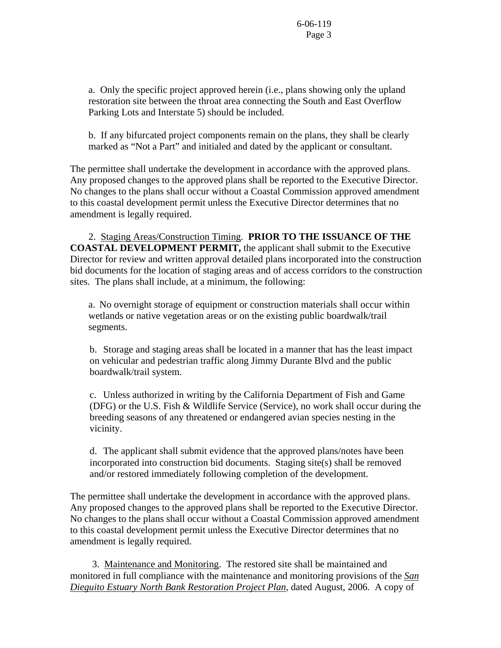a. Only the specific project approved herein (i.e., plans showing only the upland restoration site between the throat area connecting the South and East Overflow Parking Lots and Interstate 5) should be included.

 b. If any bifurcated project components remain on the plans, they shall be clearly marked as "Not a Part" and initialed and dated by the applicant or consultant.

The permittee shall undertake the development in accordance with the approved plans. Any proposed changes to the approved plans shall be reported to the Executive Director. No changes to the plans shall occur without a Coastal Commission approved amendment to this coastal development permit unless the Executive Director determines that no amendment is legally required.

 2. Staging Areas/Construction Timing. **PRIOR TO THE ISSUANCE OF THE COASTAL DEVELOPMENT PERMIT,** the applicant shall submit to the Executive Director for review and written approval detailed plans incorporated into the construction bid documents for the location of staging areas and of access corridors to the construction sites. The plans shall include, at a minimum, the following:

a. No overnight storage of equipment or construction materials shall occur within wetlands or native vegetation areas or on the existing public boardwalk/trail segments.

 b. Storage and staging areas shall be located in a manner that has the least impact on vehicular and pedestrian traffic along Jimmy Durante Blvd and the public boardwalk/trail system.

c. Unless authorized in writing by the California Department of Fish and Game (DFG) or the U.S. Fish & Wildlife Service (Service), no work shall occur during the breeding seasons of any threatened or endangered avian species nesting in the vicinity.

d. The applicant shall submit evidence that the approved plans/notes have been incorporated into construction bid documents. Staging site(s) shall be removed and/or restored immediately following completion of the development.

The permittee shall undertake the development in accordance with the approved plans. Any proposed changes to the approved plans shall be reported to the Executive Director. No changes to the plans shall occur without a Coastal Commission approved amendment to this coastal development permit unless the Executive Director determines that no amendment is legally required.

 3. Maintenance and Monitoring. The restored site shall be maintained and monitored in full compliance with the maintenance and monitoring provisions of the *San Dieguito Estuary North Bank Restoration Project Plan*, dated August, 2006. A copy of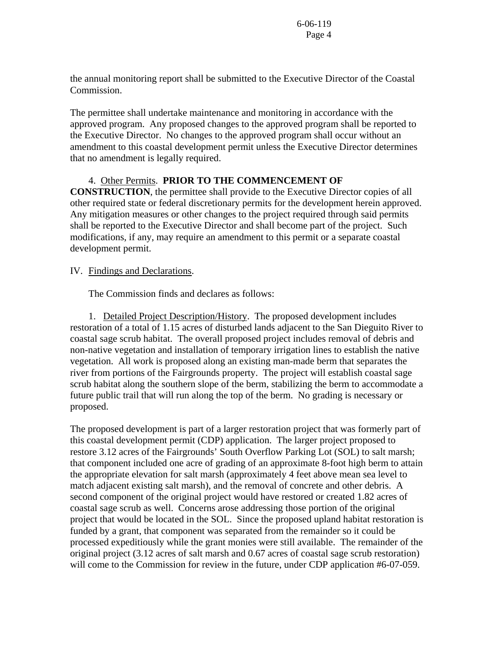the annual monitoring report shall be submitted to the Executive Director of the Coastal Commission.

The permittee shall undertake maintenance and monitoring in accordance with the approved program. Any proposed changes to the approved program shall be reported to the Executive Director. No changes to the approved program shall occur without an amendment to this coastal development permit unless the Executive Director determines that no amendment is legally required.

## 4. Other Permits. **PRIOR TO THE COMMENCEMENT OF**

**CONSTRUCTION**, the permittee shall provide to the Executive Director copies of all other required state or federal discretionary permits for the development herein approved. Any mitigation measures or other changes to the project required through said permits shall be reported to the Executive Director and shall become part of the project. Such modifications, if any, may require an amendment to this permit or a separate coastal development permit.

IV. Findings and Declarations.

The Commission finds and declares as follows:

 1. Detailed Project Description/History. The proposed development includes restoration of a total of 1.15 acres of disturbed lands adjacent to the San Dieguito River to coastal sage scrub habitat. The overall proposed project includes removal of debris and non-native vegetation and installation of temporary irrigation lines to establish the native vegetation. All work is proposed along an existing man-made berm that separates the river from portions of the Fairgrounds property. The project will establish coastal sage scrub habitat along the southern slope of the berm, stabilizing the berm to accommodate a future public trail that will run along the top of the berm. No grading is necessary or proposed.

The proposed development is part of a larger restoration project that was formerly part of this coastal development permit (CDP) application. The larger project proposed to restore 3.12 acres of the Fairgrounds' South Overflow Parking Lot (SOL) to salt marsh; that component included one acre of grading of an approximate 8-foot high berm to attain the appropriate elevation for salt marsh (approximately 4 feet above mean sea level to match adjacent existing salt marsh), and the removal of concrete and other debris. A second component of the original project would have restored or created 1.82 acres of coastal sage scrub as well. Concerns arose addressing those portion of the original project that would be located in the SOL. Since the proposed upland habitat restoration is funded by a grant, that component was separated from the remainder so it could be processed expeditiously while the grant monies were still available. The remainder of the original project (3.12 acres of salt marsh and 0.67 acres of coastal sage scrub restoration) will come to the Commission for review in the future, under CDP application #6-07-059.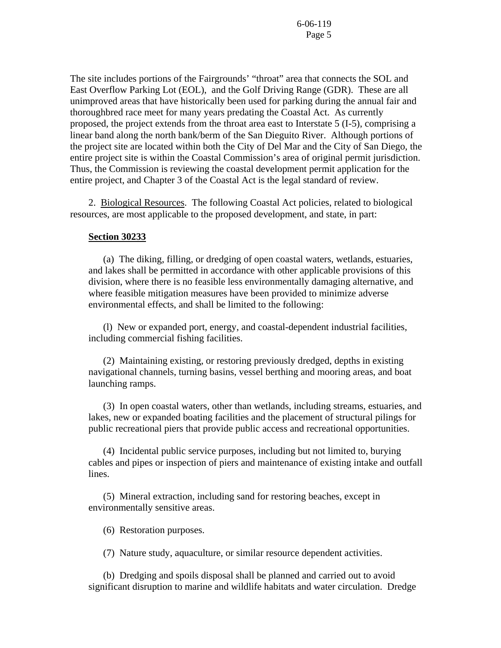The site includes portions of the Fairgrounds' "throat" area that connects the SOL and East Overflow Parking Lot (EOL), and the Golf Driving Range (GDR). These are all unimproved areas that have historically been used for parking during the annual fair and thoroughbred race meet for many years predating the Coastal Act. As currently proposed, the project extends from the throat area east to Interstate 5 (I-5), comprising a linear band along the north bank/berm of the San Dieguito River. Although portions of the project site are located within both the City of Del Mar and the City of San Diego, the entire project site is within the Coastal Commission's area of original permit jurisdiction. Thus, the Commission is reviewing the coastal development permit application for the entire project, and Chapter 3 of the Coastal Act is the legal standard of review.

 2. Biological Resources. The following Coastal Act policies, related to biological resources, are most applicable to the proposed development, and state, in part:

## **Section 30233**

 (a) The diking, filling, or dredging of open coastal waters, wetlands, estuaries, and lakes shall be permitted in accordance with other applicable provisions of this division, where there is no feasible less environmentally damaging alternative, and where feasible mitigation measures have been provided to minimize adverse environmental effects, and shall be limited to the following:

 (l) New or expanded port, energy, and coastal-dependent industrial facilities, including commercial fishing facilities.

 (2) Maintaining existing, or restoring previously dredged, depths in existing navigational channels, turning basins, vessel berthing and mooring areas, and boat launching ramps.

 (3) In open coastal waters, other than wetlands, including streams, estuaries, and lakes, new or expanded boating facilities and the placement of structural pilings for public recreational piers that provide public access and recreational opportunities.

 (4) Incidental public service purposes, including but not limited to, burying cables and pipes or inspection of piers and maintenance of existing intake and outfall lines.

 (5) Mineral extraction, including sand for restoring beaches, except in environmentally sensitive areas.

(6) Restoration purposes.

(7) Nature study, aquaculture, or similar resource dependent activities.

 (b) Dredging and spoils disposal shall be planned and carried out to avoid significant disruption to marine and wildlife habitats and water circulation. Dredge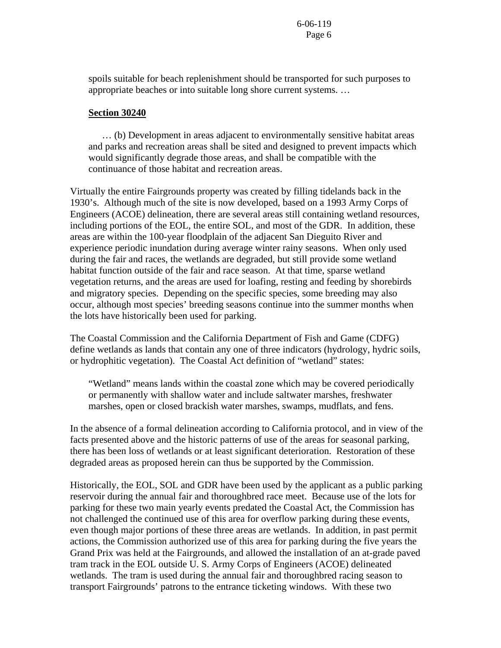spoils suitable for beach replenishment should be transported for such purposes to appropriate beaches or into suitable long shore current systems. …

## **Section 30240**

 … (b) Development in areas adjacent to environmentally sensitive habitat areas and parks and recreation areas shall be sited and designed to prevent impacts which would significantly degrade those areas, and shall be compatible with the continuance of those habitat and recreation areas.

Virtually the entire Fairgrounds property was created by filling tidelands back in the 1930's. Although much of the site is now developed, based on a 1993 Army Corps of Engineers (ACOE) delineation, there are several areas still containing wetland resources, including portions of the EOL, the entire SOL, and most of the GDR. In addition, these areas are within the 100-year floodplain of the adjacent San Dieguito River and experience periodic inundation during average winter rainy seasons. When only used during the fair and races, the wetlands are degraded, but still provide some wetland habitat function outside of the fair and race season. At that time, sparse wetland vegetation returns, and the areas are used for loafing, resting and feeding by shorebirds and migratory species. Depending on the specific species, some breeding may also occur, although most species' breeding seasons continue into the summer months when the lots have historically been used for parking.

The Coastal Commission and the California Department of Fish and Game (CDFG) define wetlands as lands that contain any one of three indicators (hydrology, hydric soils, or hydrophitic vegetation). The Coastal Act definition of "wetland" states:

"Wetland" means lands within the coastal zone which may be covered periodically or permanently with shallow water and include saltwater marshes, freshwater marshes, open or closed brackish water marshes, swamps, mudflats, and fens.

In the absence of a formal delineation according to California protocol, and in view of the facts presented above and the historic patterns of use of the areas for seasonal parking, there has been loss of wetlands or at least significant deterioration. Restoration of these degraded areas as proposed herein can thus be supported by the Commission.

Historically, the EOL, SOL and GDR have been used by the applicant as a public parking reservoir during the annual fair and thoroughbred race meet. Because use of the lots for parking for these two main yearly events predated the Coastal Act, the Commission has not challenged the continued use of this area for overflow parking during these events, even though major portions of these three areas are wetlands. In addition, in past permit actions, the Commission authorized use of this area for parking during the five years the Grand Prix was held at the Fairgrounds, and allowed the installation of an at-grade paved tram track in the EOL outside U. S. Army Corps of Engineers (ACOE) delineated wetlands. The tram is used during the annual fair and thoroughbred racing season to transport Fairgrounds' patrons to the entrance ticketing windows. With these two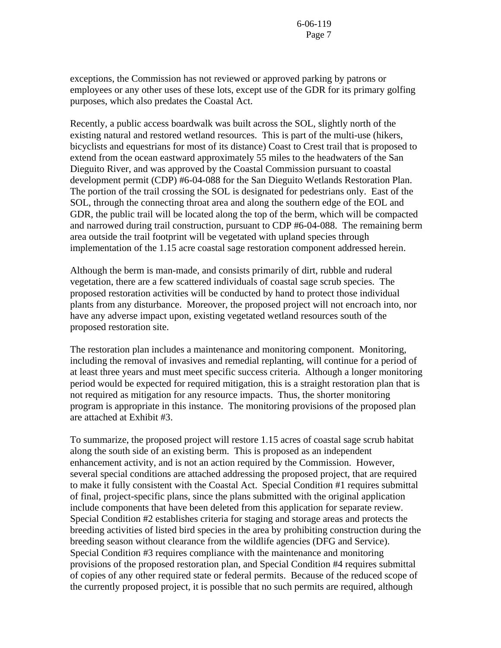exceptions, the Commission has not reviewed or approved parking by patrons or employees or any other uses of these lots, except use of the GDR for its primary golfing purposes, which also predates the Coastal Act.

Recently, a public access boardwalk was built across the SOL, slightly north of the existing natural and restored wetland resources. This is part of the multi-use (hikers, bicyclists and equestrians for most of its distance) Coast to Crest trail that is proposed to extend from the ocean eastward approximately 55 miles to the headwaters of the San Dieguito River, and was approved by the Coastal Commission pursuant to coastal development permit (CDP) #6-04-088 for the San Dieguito Wetlands Restoration Plan. The portion of the trail crossing the SOL is designated for pedestrians only. East of the SOL, through the connecting throat area and along the southern edge of the EOL and GDR, the public trail will be located along the top of the berm, which will be compacted and narrowed during trail construction, pursuant to CDP #6-04-088. The remaining berm area outside the trail footprint will be vegetated with upland species through implementation of the 1.15 acre coastal sage restoration component addressed herein.

Although the berm is man-made, and consists primarily of dirt, rubble and ruderal vegetation, there are a few scattered individuals of coastal sage scrub species. The proposed restoration activities will be conducted by hand to protect those individual plants from any disturbance. Moreover, the proposed project will not encroach into, nor have any adverse impact upon, existing vegetated wetland resources south of the proposed restoration site.

The restoration plan includes a maintenance and monitoring component. Monitoring, including the removal of invasives and remedial replanting, will continue for a period of at least three years and must meet specific success criteria. Although a longer monitoring period would be expected for required mitigation, this is a straight restoration plan that is not required as mitigation for any resource impacts. Thus, the shorter monitoring program is appropriate in this instance. The monitoring provisions of the proposed plan are attached at Exhibit #3.

To summarize, the proposed project will restore 1.15 acres of coastal sage scrub habitat along the south side of an existing berm. This is proposed as an independent enhancement activity, and is not an action required by the Commission. However, several special conditions are attached addressing the proposed project, that are required to make it fully consistent with the Coastal Act. Special Condition #1 requires submittal of final, project-specific plans, since the plans submitted with the original application include components that have been deleted from this application for separate review. Special Condition #2 establishes criteria for staging and storage areas and protects the breeding activities of listed bird species in the area by prohibiting construction during the breeding season without clearance from the wildlife agencies (DFG and Service). Special Condition #3 requires compliance with the maintenance and monitoring provisions of the proposed restoration plan, and Special Condition #4 requires submittal of copies of any other required state or federal permits. Because of the reduced scope of the currently proposed project, it is possible that no such permits are required, although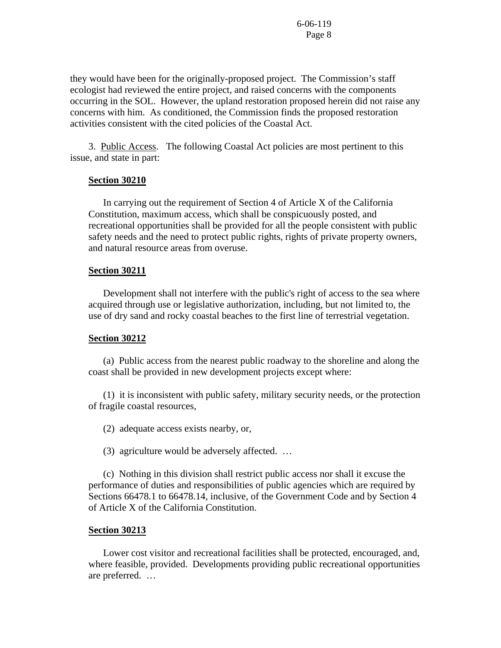they would have been for the originally-proposed project. The Commission's staff ecologist had reviewed the entire project, and raised concerns with the components occurring in the SOL. However, the upland restoration proposed herein did not raise any concerns with him. As conditioned, the Commission finds the proposed restoration activities consistent with the cited policies of the Coastal Act.

 3. Public Access. The following Coastal Act policies are most pertinent to this issue, and state in part:

## **Section 30210**

 In carrying out the requirement of Section 4 of Article X of the California Constitution, maximum access, which shall be conspicuously posted, and recreational opportunities shall be provided for all the people consistent with public safety needs and the need to protect public rights, rights of private property owners, and natural resource areas from overuse.

## **Section 30211**

 Development shall not interfere with the public's right of access to the sea where acquired through use or legislative authorization, including, but not limited to, the use of dry sand and rocky coastal beaches to the first line of terrestrial vegetation.

## **Section 30212**

 (a) Public access from the nearest public roadway to the shoreline and along the coast shall be provided in new development projects except where:

 (1) it is inconsistent with public safety, military security needs, or the protection of fragile coastal resources,

(2) adequate access exists nearby, or,

(3) agriculture would be adversely affected. …

 (c) Nothing in this division shall restrict public access nor shall it excuse the performance of duties and responsibilities of public agencies which are required by Sections 66478.1 to 66478.14, inclusive, of the Government Code and by Section 4 of Article X of the California Constitution.

## **Section 30213**

 Lower cost visitor and recreational facilities shall be protected, encouraged, and, where feasible, provided. Developments providing public recreational opportunities are preferred. …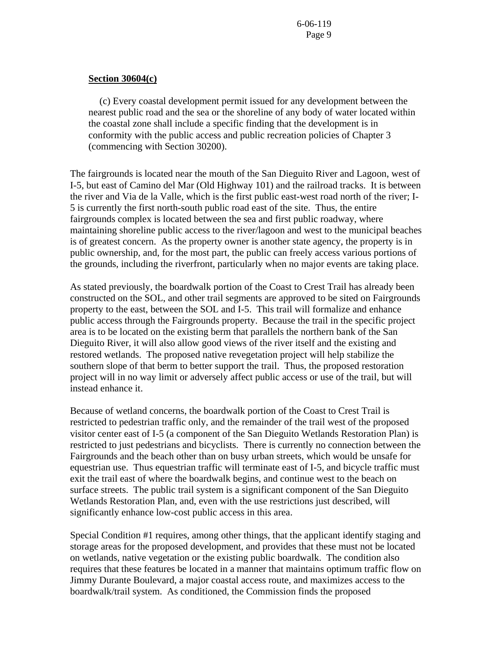## **Section 30604(c)**

 (c) Every coastal development permit issued for any development between the nearest public road and the sea or the shoreline of any body of water located within the coastal zone shall include a specific finding that the development is in conformity with the public access and public recreation policies of Chapter 3 (commencing with Section 30200).

The fairgrounds is located near the mouth of the San Dieguito River and Lagoon, west of I-5, but east of Camino del Mar (Old Highway 101) and the railroad tracks. It is between the river and Via de la Valle, which is the first public east-west road north of the river; I-5 is currently the first north-south public road east of the site. Thus, the entire fairgrounds complex is located between the sea and first public roadway, where maintaining shoreline public access to the river/lagoon and west to the municipal beaches is of greatest concern. As the property owner is another state agency, the property is in public ownership, and, for the most part, the public can freely access various portions of the grounds, including the riverfront, particularly when no major events are taking place.

As stated previously, the boardwalk portion of the Coast to Crest Trail has already been constructed on the SOL, and other trail segments are approved to be sited on Fairgrounds property to the east, between the SOL and I-5. This trail will formalize and enhance public access through the Fairgrounds property. Because the trail in the specific project area is to be located on the existing berm that parallels the northern bank of the San Dieguito River, it will also allow good views of the river itself and the existing and restored wetlands. The proposed native revegetation project will help stabilize the southern slope of that berm to better support the trail. Thus, the proposed restoration project will in no way limit or adversely affect public access or use of the trail, but will instead enhance it.

Because of wetland concerns, the boardwalk portion of the Coast to Crest Trail is restricted to pedestrian traffic only, and the remainder of the trail west of the proposed visitor center east of I-5 (a component of the San Dieguito Wetlands Restoration Plan) is restricted to just pedestrians and bicyclists. There is currently no connection between the Fairgrounds and the beach other than on busy urban streets, which would be unsafe for equestrian use. Thus equestrian traffic will terminate east of I-5, and bicycle traffic must exit the trail east of where the boardwalk begins, and continue west to the beach on surface streets. The public trail system is a significant component of the San Dieguito Wetlands Restoration Plan, and, even with the use restrictions just described, will significantly enhance low-cost public access in this area.

Special Condition #1 requires, among other things, that the applicant identify staging and storage areas for the proposed development, and provides that these must not be located on wetlands, native vegetation or the existing public boardwalk. The condition also requires that these features be located in a manner that maintains optimum traffic flow on Jimmy Durante Boulevard, a major coastal access route, and maximizes access to the boardwalk/trail system. As conditioned, the Commission finds the proposed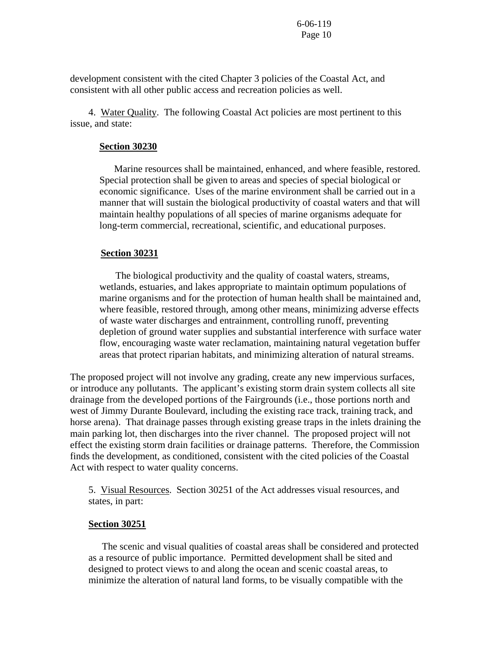development consistent with the cited Chapter 3 policies of the Coastal Act, and consistent with all other public access and recreation policies as well.

 4. Water Quality. The following Coastal Act policies are most pertinent to this issue, and state:

## **Section 30230**

 Marine resources shall be maintained, enhanced, and where feasible, restored. Special protection shall be given to areas and species of special biological or economic significance. Uses of the marine environment shall be carried out in a manner that will sustain the biological productivity of coastal waters and that will maintain healthy populations of all species of marine organisms adequate for long-term commercial, recreational, scientific, and educational purposes.

## **Section 30231**

 The biological productivity and the quality of coastal waters, streams, wetlands, estuaries, and lakes appropriate to maintain optimum populations of marine organisms and for the protection of human health shall be maintained and, where feasible, restored through, among other means, minimizing adverse effects of waste water discharges and entrainment, controlling runoff, preventing depletion of ground water supplies and substantial interference with surface water flow, encouraging waste water reclamation, maintaining natural vegetation buffer areas that protect riparian habitats, and minimizing alteration of natural streams.

The proposed project will not involve any grading, create any new impervious surfaces, or introduce any pollutants. The applicant's existing storm drain system collects all site drainage from the developed portions of the Fairgrounds (i.e., those portions north and west of Jimmy Durante Boulevard, including the existing race track, training track, and horse arena). That drainage passes through existing grease traps in the inlets draining the main parking lot, then discharges into the river channel. The proposed project will not effect the existing storm drain facilities or drainage patterns. Therefore, the Commission finds the development, as conditioned, consistent with the cited policies of the Coastal Act with respect to water quality concerns.

5. Visual Resources. Section 30251 of the Act addresses visual resources, and states, in part:

## **Section 30251**

 The scenic and visual qualities of coastal areas shall be considered and protected as a resource of public importance. Permitted development shall be sited and designed to protect views to and along the ocean and scenic coastal areas, to minimize the alteration of natural land forms, to be visually compatible with the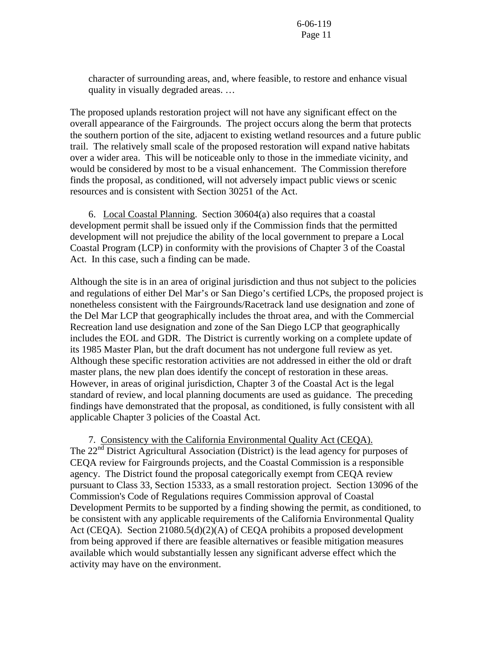character of surrounding areas, and, where feasible, to restore and enhance visual quality in visually degraded areas. …

The proposed uplands restoration project will not have any significant effect on the overall appearance of the Fairgrounds. The project occurs along the berm that protects the southern portion of the site, adjacent to existing wetland resources and a future public trail. The relatively small scale of the proposed restoration will expand native habitats over a wider area. This will be noticeable only to those in the immediate vicinity, and would be considered by most to be a visual enhancement. The Commission therefore finds the proposal, as conditioned, will not adversely impact public views or scenic resources and is consistent with Section 30251 of the Act.

 6. Local Coastal Planning. Section 30604(a) also requires that a coastal development permit shall be issued only if the Commission finds that the permitted development will not prejudice the ability of the local government to prepare a Local Coastal Program (LCP) in conformity with the provisions of Chapter 3 of the Coastal Act. In this case, such a finding can be made.

Although the site is in an area of original jurisdiction and thus not subject to the policies and regulations of either Del Mar's or San Diego's certified LCPs, the proposed project is nonetheless consistent with the Fairgrounds/Racetrack land use designation and zone of the Del Mar LCP that geographically includes the throat area, and with the Commercial Recreation land use designation and zone of the San Diego LCP that geographically includes the EOL and GDR. The District is currently working on a complete update of its 1985 Master Plan, but the draft document has not undergone full review as yet. Although these specific restoration activities are not addressed in either the old or draft master plans, the new plan does identify the concept of restoration in these areas. However, in areas of original jurisdiction, Chapter 3 of the Coastal Act is the legal standard of review, and local planning documents are used as guidance. The preceding findings have demonstrated that the proposal, as conditioned, is fully consistent with all applicable Chapter 3 policies of the Coastal Act.

 7. Consistency with the California Environmental Quality Act (CEQA). The  $22<sup>nd</sup>$  District Agricultural Association (District) is the lead agency for purposes of CEQA review for Fairgrounds projects, and the Coastal Commission is a responsible agency. The District found the proposal categorically exempt from CEQA review pursuant to Class 33, Section 15333, as a small restoration project. Section 13096 of the Commission's Code of Regulations requires Commission approval of Coastal Development Permits to be supported by a finding showing the permit, as conditioned, to be consistent with any applicable requirements of the California Environmental Quality Act (CEQA). Section 21080.5(d)(2)(A) of CEQA prohibits a proposed development from being approved if there are feasible alternatives or feasible mitigation measures available which would substantially lessen any significant adverse effect which the activity may have on the environment.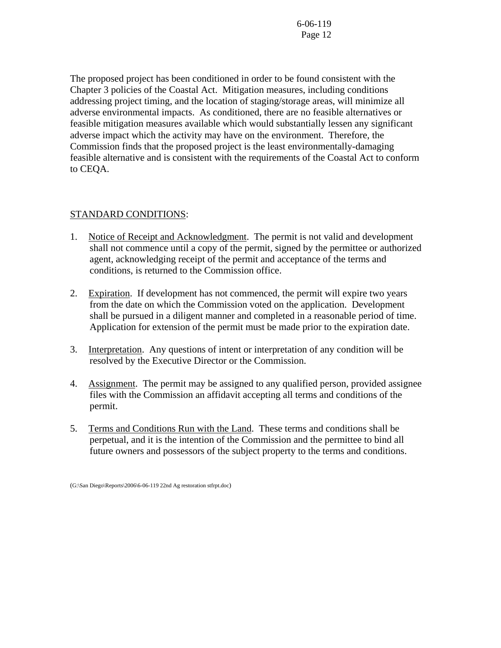The proposed project has been conditioned in order to be found consistent with the Chapter 3 policies of the Coastal Act. Mitigation measures, including conditions addressing project timing, and the location of staging/storage areas, will minimize all adverse environmental impacts. As conditioned, there are no feasible alternatives or feasible mitigation measures available which would substantially lessen any significant adverse impact which the activity may have on the environment. Therefore, the Commission finds that the proposed project is the least environmentally-damaging feasible alternative and is consistent with the requirements of the Coastal Act to conform to CEQA.

## STANDARD CONDITIONS:

- 1. Notice of Receipt and Acknowledgment. The permit is not valid and development shall not commence until a copy of the permit, signed by the permittee or authorized agent, acknowledging receipt of the permit and acceptance of the terms and conditions, is returned to the Commission office.
- 2. Expiration. If development has not commenced, the permit will expire two years from the date on which the Commission voted on the application. Development shall be pursued in a diligent manner and completed in a reasonable period of time. Application for extension of the permit must be made prior to the expiration date.
- 3. Interpretation. Any questions of intent or interpretation of any condition will be resolved by the Executive Director or the Commission.
- 4. Assignment. The permit may be assigned to any qualified person, provided assignee files with the Commission an affidavit accepting all terms and conditions of the permit.
- 5. Terms and Conditions Run with the Land. These terms and conditions shall be perpetual, and it is the intention of the Commission and the permittee to bind all future owners and possessors of the subject property to the terms and conditions.

(G:\San Diego\Reports\2006\6-06-119 22nd Ag restoration stfrpt.doc)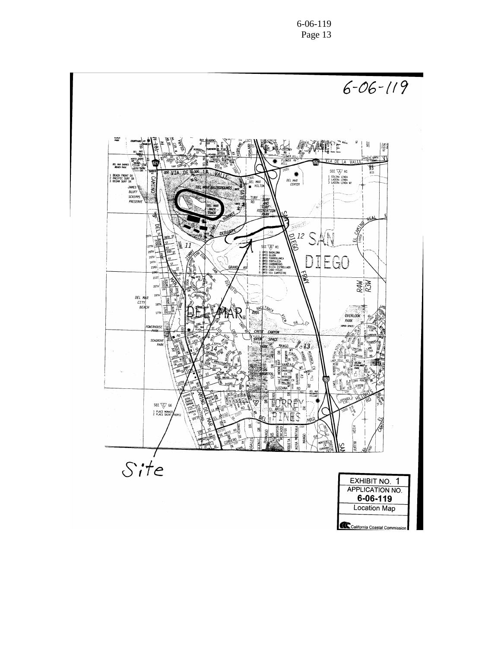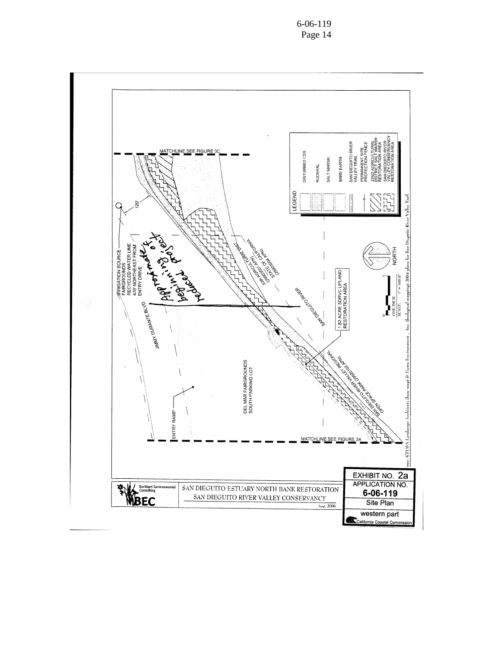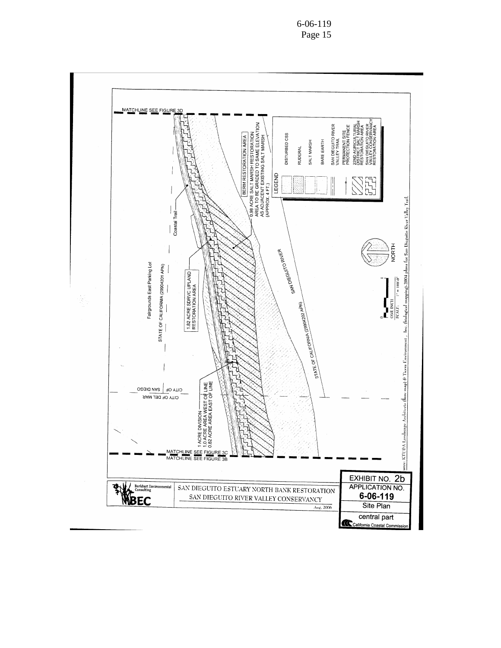

6-06-119 Page 15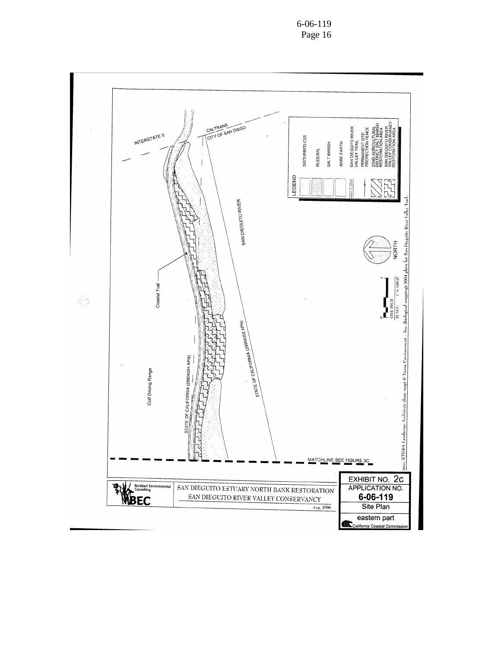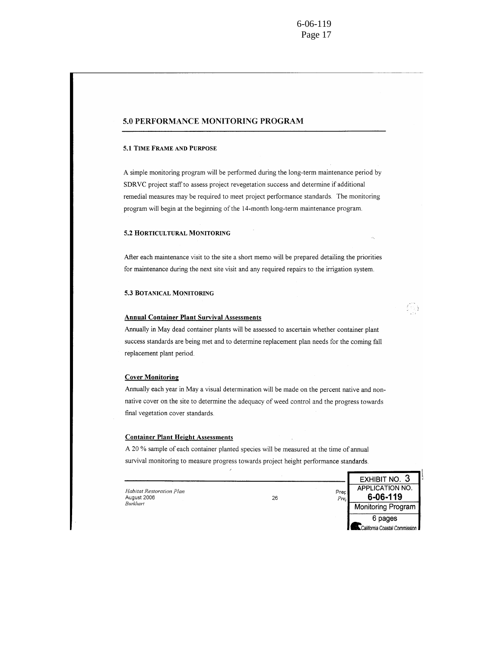#### 5.0 PERFORMANCE MONITORING PROGRAM

#### 5.1 TIME FRAME AND PURPOSE

A simple monitoring program will be performed during the long-term maintenance period by SDRVC project staff to assess project revegetation success and determine if additional remedial measures may be required to meet project performance standards. The monitoring program will begin at the beginning of the 14-month long-term maintenance program.

#### 5.2 HORTICULTURAL MONITORING

After each maintenance visit to the site a short memo will be prepared detailing the priorities for maintenance during the next site visit and any required repairs to the irrigation system.

#### 5.3 BOTANICAL MONITORING

#### **Annual Container Plant Survival Assessments**

Annually in May dead container plants will be assessed to ascertain whether container plant success standards are being met and to determine replacement plan needs for the coming fall replacement plant period.

#### **Cover Monitoring**

Annually each year in May a visual determination will be made on the percent native and nonnative cover on the site to determine the adequacy of weed control and the progress towards final vegetation cover standards.

## **Container Plant Height Assessments**

A 20 % sample of each container planted species will be measured at the time of annual survival monitoring to measure progress towards project height performance standards.

Habitat Restoration Plan August 2006 Burkhart

26



 $\mathbb{G}_1$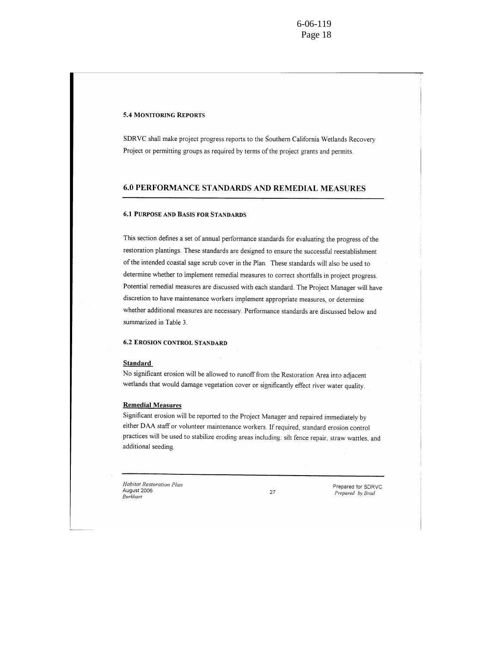#### **5.4 MONITORING REPORTS**

SDRVC shall make project progress reports to the Southern California Wetlands Recovery Project or permitting groups as required by terms of the project grants and permits.

## **6.0 PERFORMANCE STANDARDS AND REMEDIAL MEASURES**

#### **6.1 PURPOSE AND BASIS FOR STANDARDS**

This section defines a set of annual performance standards for evaluating the progress of the restoration plantings. These standards are designed to ensure the successful reestablishment of the intended coastal sage scrub cover in the Plan. These standards will also be used to determine whether to implement remedial measures to correct shortfalls in project progress. Potential remedial measures are discussed with each standard. The Project Manager will have discretion to have maintenance workers implement appropriate measures, or determine whether additional measures are necessary. Performance standards are discussed below and summarized in Table 3.

## **6.2 EROSION CONTROL STANDARD**

#### Standard

No significant erosion will be allowed to runoff from the Restoration Area into adjacent wetlands that would damage vegetation cover or significantly effect river water quality.

## **Remedial Measures**

Significant erosion will be reported to the Project Manager and repaired immediately by either DAA staff or volunteer maintenance workers. If required, standard erosion control practices will be used to stabilize eroding areas including: silt fence repair, straw wattles, and additional seeding.

**Habitat Restoration Plan** August 2006 Burkhart

27

Prepared for SDRVC Prepared by Brad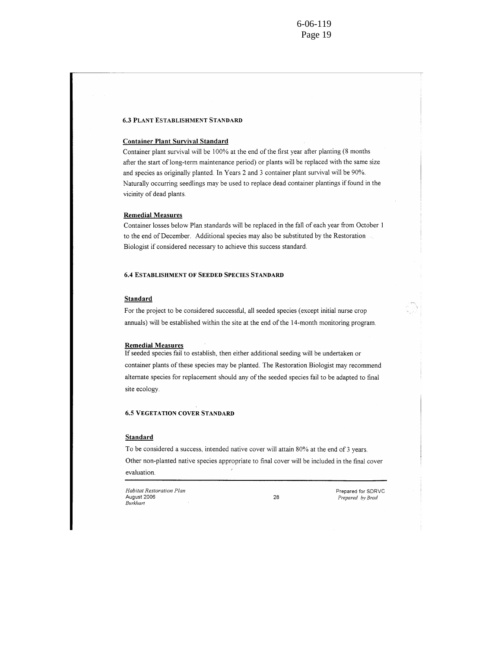#### **6.3 PLANT ESTABLISHMENT STANDARD**

#### **Container Plant Survival Standard**

Container plant survival will be 100% at the end of the first year after planting (8 months after the start of long-term maintenance period) or plants will be replaced with the same size and species as originally planted. In Years 2 and 3 container plant survival will be 90%. Naturally occurring seedlings may be used to replace dead container plantings if found in the vicinity of dead plants.

#### **Remedial Measures**

Container losses below Plan standards will be replaced in the fall of each year from October 1 to the end of December. Additional species may also be substituted by the Restoration Biologist if considered necessary to achieve this success standard.

#### **6.4 ESTABLISHMENT OF SEEDED SPECIES STANDARD**

#### **Standard**

For the project to be considered successful, all seeded species (except initial nurse crop annuals) will be established within the site at the end of the 14-month monitoring program.

#### **Remedial Measures**

If seeded species fail to establish, then either additional seeding will be undertaken or container plants of these species may be planted. The Restoration Biologist may recommend alternate species for replacement should any of the seeded species fail to be adapted to final site ecology.

#### **6.5 VEGETATION COVER STANDARD**

## **Standard**

To be considered a success, intended native cover will attain 80% at the end of 3 years. Other non-planted native species appropriate to final cover will be included in the final cover evaluation.

**Habitat Restoration Plan** August 2006 Burkhart

28

Prepared for SDRVC Prepared by Brad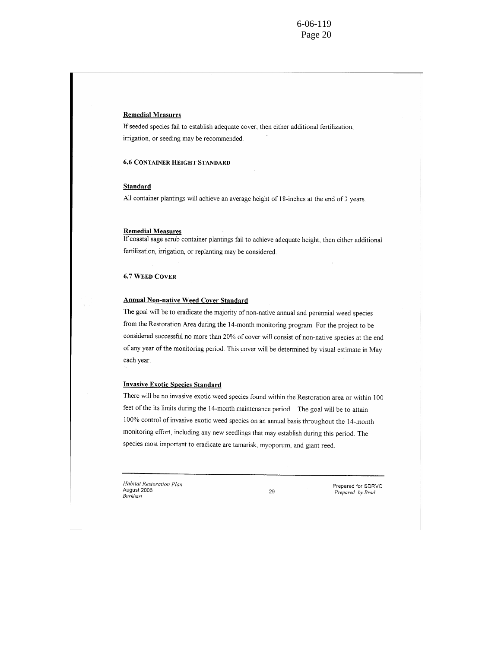#### **Remedial Measures**

If seeded species fail to establish adequate cover, then either additional fertilization, irrigation, or seeding may be recommended.

## **6.6 CONTAINER HEIGHT STANDARD**

#### Standard

All container plantings will achieve an average height of 18-inches at the end of 3 years.

#### **Remedial Measures**

If coastal sage scrub container plantings fail to achieve adequate height, then either additional fertilization, irrigation, or replanting may be considered.

#### **6.7 WEED COVER**

#### **Annual Non-native Weed Cover Standard**

The goal will be to eradicate the majority of non-native annual and perennial weed species from the Restoration Area during the 14-month monitoring program. For the project to be considered successful no more than 20% of cover will consist of non-native species at the end of any year of the monitoring period. This cover will be determined by visual estimate in May each year.

#### **Invasive Exotic Species Standard**

There will be no invasive exotic weed species found within the Restoration area or within 100 feet of the its limits during the 14-month maintenance period. The goal will be to attain 100% control of invasive exotic weed species on an annual basis throughout the 14-month monitoring effort, including any new seedlings that may establish during this period. The species most important to eradicate are tamarisk, myoporum, and giant reed.

Habitat Restoration Plan August 2006 Burkhart

29

Prepared for SDRVC Prepared by Brad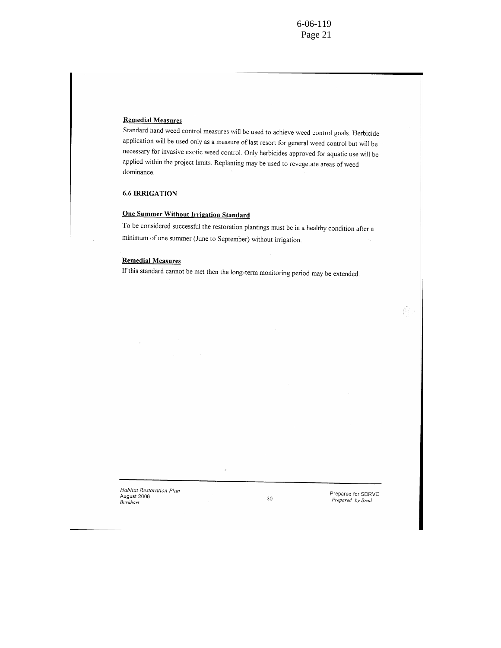## **Remedial Measures**

Standard hand weed control measures will be used to achieve weed control goals. Herbicide application will be used only as a measure of last resort for general weed control but will be necessary for invasive exotic weed control. Only herbicides approved for aquatic use will be applied within the project limits. Replanting may be used to revegetate areas of weed dominance.

## **6.6 IRRIGATION**

## **One Summer Without Irrigation Standard**

To be considered successful the restoration plantings must be in a healthy condition after a minimum of one summer (June to September) without irrigation.

## **Remedial Measures**

If this standard cannot be met then the long-term monitoring period may be extended.

Habitat Restoration Plan August 2006<br>*Burkhart* 

30

Prepared for SDRVC Prepared by Brad

Ć,